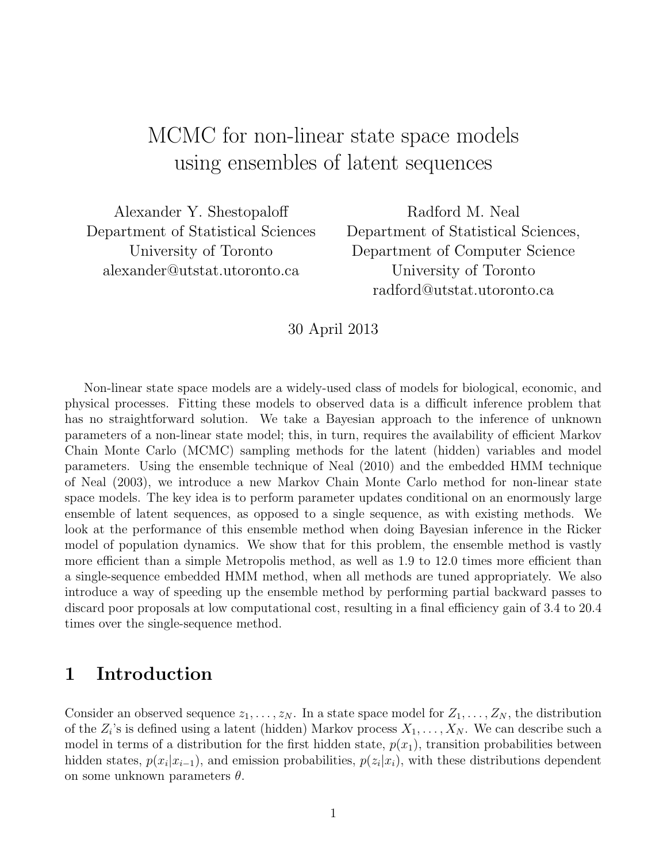# MCMC for non-linear state space models using ensembles of latent sequences

Alexander Y. Shestopaloff Department of Statistical Sciences University of Toronto alexander@utstat.utoronto.ca

Radford M. Neal Department of Statistical Sciences, Department of Computer Science University of Toronto radford@utstat.utoronto.ca

30 April 2013

Non-linear state space models are a widely-used class of models for biological, economic, and physical processes. Fitting these models to observed data is a difficult inference problem that has no straightforward solution. We take a Bayesian approach to the inference of unknown parameters of a non-linear state model; this, in turn, requires the availability of efficient Markov Chain Monte Carlo (MCMC) sampling methods for the latent (hidden) variables and model parameters. Using the ensemble technique of Neal (2010) and the embedded HMM technique of Neal (2003), we introduce a new Markov Chain Monte Carlo method for non-linear state space models. The key idea is to perform parameter updates conditional on an enormously large ensemble of latent sequences, as opposed to a single sequence, as with existing methods. We look at the performance of this ensemble method when doing Bayesian inference in the Ricker model of population dynamics. We show that for this problem, the ensemble method is vastly more efficient than a simple Metropolis method, as well as 1.9 to 12.0 times more efficient than a single-sequence embedded HMM method, when all methods are tuned appropriately. We also introduce a way of speeding up the ensemble method by performing partial backward passes to discard poor proposals at low computational cost, resulting in a final efficiency gain of 3.4 to 20.4 times over the single-sequence method.

### 1 Introduction

Consider an observed sequence  $z_1, \ldots, z_N$ . In a state space model for  $Z_1, \ldots, Z_N$ , the distribution of the  $Z_i$ 's is defined using a latent (hidden) Markov process  $X_1, \ldots, X_N$ . We can describe such a model in terms of a distribution for the first hidden state,  $p(x_1)$ , transition probabilities between hidden states,  $p(x_i|x_{i-1})$ , and emission probabilities,  $p(z_i|x_i)$ , with these distributions dependent on some unknown parameters  $\theta$ .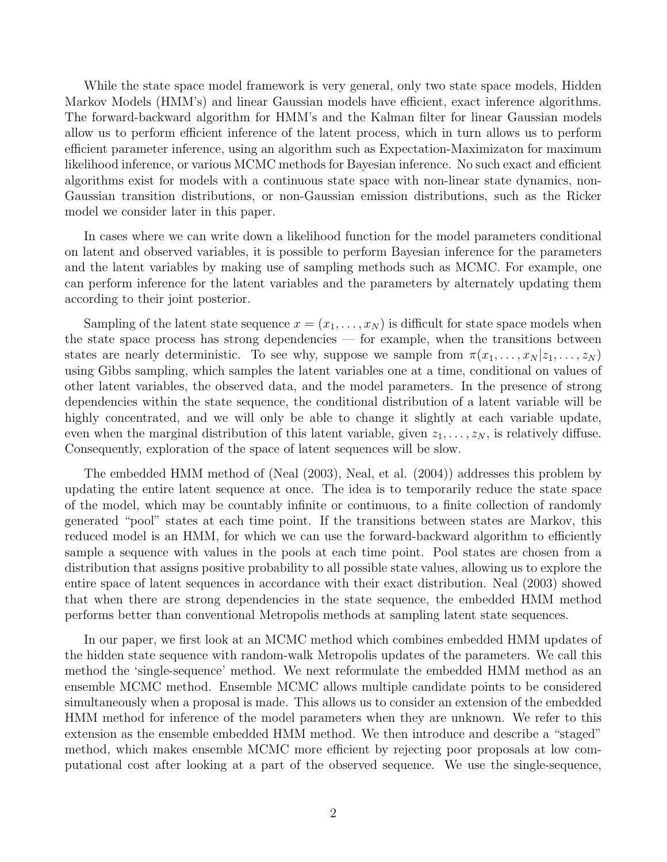While the state space model framework is very general, only two state space models, Hidden Markov Models (HMM's) and linear Gaussian models have efficient, exact inference algorithms. The forward-backward algorithm for HMM's and the Kalman filter for linear Gaussian models allow us to perform efficient inference of the latent process, which in turn allows us to perform efficient parameter inference, using an algorithm such as Expectation-Maximizaton for maximum likelihood inference, or various MCMC methods for Bayesian inference. No such exact and efficient algorithms exist for models with a continuous state space with non-linear state dynamics, non-Gaussian transition distributions, or non-Gaussian emission distributions, such as the Ricker model we consider later in this paper.

In cases where we can write down a likelihood function for the model parameters conditional on latent and observed variables, it is possible to perform Bayesian inference for the parameters and the latent variables by making use of sampling methods such as MCMC. For example, one can perform inference for the latent variables and the parameters by alternately updating them according to their joint posterior.

Sampling of the latent state sequence  $x = (x_1, \ldots, x_N)$  is difficult for state space models when the state space process has strong dependencies — for example, when the transitions between states are nearly deterministic. To see why, suppose we sample from  $\pi(x_1, \ldots, x_N | z_1, \ldots, z_N)$ using Gibbs sampling, which samples the latent variables one at a time, conditional on values of other latent variables, the observed data, and the model parameters. In the presence of strong dependencies within the state sequence, the conditional distribution of a latent variable will be highly concentrated, and we will only be able to change it slightly at each variable update, even when the marginal distribution of this latent variable, given  $z_1, \ldots, z_N$ , is relatively diffuse. Consequently, exploration of the space of latent sequences will be slow.

The embedded HMM method of (Neal (2003), Neal, et al. (2004)) addresses this problem by updating the entire latent sequence at once. The idea is to temporarily reduce the state space of the model, which may be countably infinite or continuous, to a finite collection of randomly generated "pool" states at each time point. If the transitions between states are Markov, this reduced model is an HMM, for which we can use the forward-backward algorithm to efficiently sample a sequence with values in the pools at each time point. Pool states are chosen from a distribution that assigns positive probability to all possible state values, allowing us to explore the entire space of latent sequences in accordance with their exact distribution. Neal (2003) showed that when there are strong dependencies in the state sequence, the embedded HMM method performs better than conventional Metropolis methods at sampling latent state sequences.

In our paper, we first look at an MCMC method which combines embedded HMM updates of the hidden state sequence with random-walk Metropolis updates of the parameters. We call this method the 'single-sequence' method. We next reformulate the embedded HMM method as an ensemble MCMC method. Ensemble MCMC allows multiple candidate points to be considered simultaneously when a proposal is made. This allows us to consider an extension of the embedded HMM method for inference of the model parameters when they are unknown. We refer to this extension as the ensemble embedded HMM method. We then introduce and describe a "staged" method, which makes ensemble MCMC more efficient by rejecting poor proposals at low computational cost after looking at a part of the observed sequence. We use the single-sequence,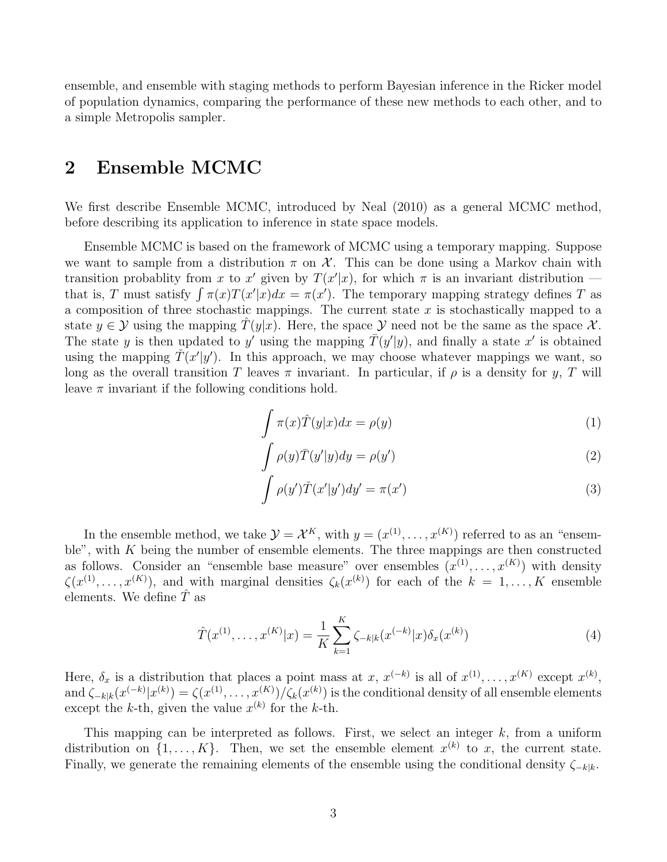ensemble, and ensemble with staging methods to perform Bayesian inference in the Ricker model of population dynamics, comparing the performance of these new methods to each other, and to a simple Metropolis sampler.

#### 2 Ensemble MCMC

We first describe Ensemble MCMC, introduced by Neal (2010) as a general MCMC method, before describing its application to inference in state space models.

Ensemble MCMC is based on the framework of MCMC using a temporary mapping. Suppose we want to sample from a distribution  $\pi$  on  $\mathcal{X}$ . This can be done using a Markov chain with transition probablity from x to x' given by  $T(x'|x)$ , for which  $\pi$  is an invariant distribution – that is, T must satisfy  $\int \pi(x)T(x'|x)dx = \pi(x')$ . The temporary mapping strategy defines T as a composition of three stochastic mappings. The current state  $x$  is stochastically mapped to a state  $y \in Y$  using the mapping  $\hat{T}(y|x)$ . Here, the space Y need not be the same as the space X. The state y is then updated to y' using the mapping  $\overline{T}(y'|y)$ , and finally a state x' is obtained using the mapping  $\check{T}(x'|y')$ . In this approach, we may choose whatever mappings we want, so long as the overall transition T leaves  $\pi$  invariant. In particular, if  $\rho$  is a density for y, T will leave  $\pi$  invariant if the following conditions hold.

$$
\int \pi(x)\hat{T}(y|x)dx = \rho(y)
$$
\n(1)

$$
\int \rho(y)\overline{T}(y'|y)dy = \rho(y')
$$
\n(2)

$$
\int \rho(y')\tilde{T}(x'|y')dy' = \pi(x')
$$
\n(3)

In the ensemble method, we take  $\mathcal{Y} = \mathcal{X}^K$ , with  $y = (x^{(1)}, \dots, x^{(K)})$  referred to as an "ensemble", with  $K$  being the number of ensemble elements. The three mappings are then constructed as follows. Consider an "ensemble base measure" over ensembles  $(x^{(1)},...,x^{(K)})$  with density  $\zeta(x^{(1)},\ldots,x^{(K)}),$  and with marginal densities  $\zeta_k(x^{(k)})$  for each of the  $k=1,\ldots,K$  ensemble elements. We define  $\hat{T}$  as

$$
\hat{T}(x^{(1)}, \dots, x^{(K)}|x) = \frac{1}{K} \sum_{k=1}^{K} \zeta_{-k|k}(x^{(-k)}|x) \delta_x(x^{(k)})
$$
\n(4)

Here,  $\delta_x$  is a distribution that places a point mass at x,  $x^{(-k)}$  is all of  $x^{(1)}, \ldots, x^{(K)}$  except  $x^{(k)}$ , and  $\zeta_{-k|k}(x^{(-k)}|x^{(k)}) = \zeta(x^{(1)},\ldots,x^{(K)})/\zeta_k(x^{(k)})$  is the conditional density of all ensemble elements except the k-th, given the value  $x^{(k)}$  for the k-th.

This mapping can be interpreted as follows. First, we select an integer  $k$ , from a uniform distribution on  $\{1, \ldots, K\}$ . Then, we set the ensemble element  $x^{(k)}$  to x, the current state. Finally, we generate the remaining elements of the ensemble using the conditional density  $\zeta_{-k|k}$ .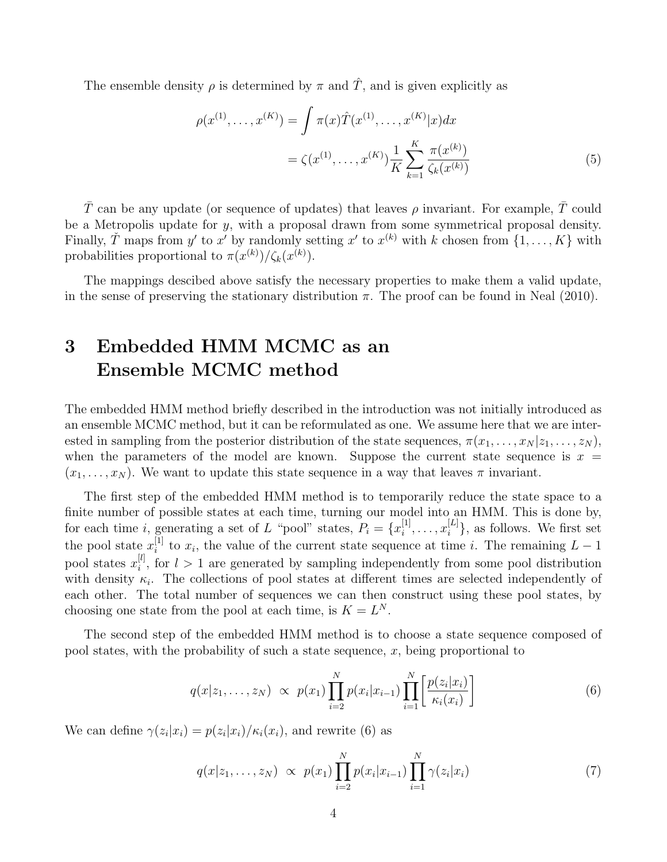The ensemble density  $\rho$  is determined by  $\pi$  and  $\hat{T}$ , and is given explicitly as

$$
\rho(x^{(1)}, \dots, x^{(K)}) = \int \pi(x) \hat{T}(x^{(1)}, \dots, x^{(K)} | x) dx
$$

$$
= \zeta(x^{(1)}, \dots, x^{(K)}) \frac{1}{K} \sum_{k=1}^{K} \frac{\pi(x^{(k)})}{\zeta_k(x^{(k)})}
$$
(5)

T can be any update (or sequence of updates) that leaves  $\rho$  invariant. For example, T could be a Metropolis update for y, with a proposal drawn from some symmetrical proposal density. Finally,  $\check{T}$  maps from  $y'$  to  $x'$  by randomly setting  $x'$  to  $x^{(k)}$  with k chosen from  $\{1, \ldots, K\}$  with probabilities proportional to  $\pi(x^{(k)})/\zeta_k(x^{(k)})$ .

The mappings descibed above satisfy the necessary properties to make them a valid update, in the sense of preserving the stationary distribution  $\pi$ . The proof can be found in Neal (2010).

## 3 Embedded HMM MCMC as an Ensemble MCMC method

The embedded HMM method briefly described in the introduction was not initially introduced as an ensemble MCMC method, but it can be reformulated as one. We assume here that we are interested in sampling from the posterior distribution of the state sequences,  $\pi(x_1, \ldots, x_N | z_1, \ldots, z_N)$ , when the parameters of the model are known. Suppose the current state sequence is  $x =$  $(x_1, \ldots, x_N)$ . We want to update this state sequence in a way that leaves  $\pi$  invariant.

The first step of the embedded HMM method is to temporarily reduce the state space to a finite number of possible states at each time, turning our model into an HMM. This is done by, for each time *i*, generating a set of L "pool" states,  $P_i = \{x_i^{[1]} \}$  $\binom{[1]}{i}, \ldots, x_i^{[L]}$  $\{L^{[L]}\}$ , as follows. We first set the pool state  $x_i^{[1]}$  $i<sup>[1]</sup>$  to  $x<sub>i</sub>$ , the value of the current state sequence at time *i*. The remaining  $L-1$ pool states  $x_i^{[l]}$  $i_j^{[l]}$ , for  $l > 1$  are generated by sampling independently from some pool distribution with density  $\kappa_i$ . The collections of pool states at different times are selected independently of each other. The total number of sequences we can then construct using these pool states, by choosing one state from the pool at each time, is  $K = L<sup>N</sup>$ .

The second step of the embedded HMM method is to choose a state sequence composed of pool states, with the probability of such a state sequence,  $x$ , being proportional to

$$
q(x|z_1,...,z_N) \propto p(x_1) \prod_{i=2}^{N} p(x_i|x_{i-1}) \prod_{i=1}^{N} \left[ \frac{p(z_i|x_i)}{\kappa_i(x_i)} \right]
$$
(6)

We can define  $\gamma(z_i|x_i) = p(z_i|x_i)/\kappa_i(x_i)$ , and rewrite (6) as

$$
q(x|z_1,\ldots,z_N) \propto p(x_1) \prod_{i=2}^N p(x_i|x_{i-1}) \prod_{i=1}^N \gamma(z_i|x_i)
$$
 (7)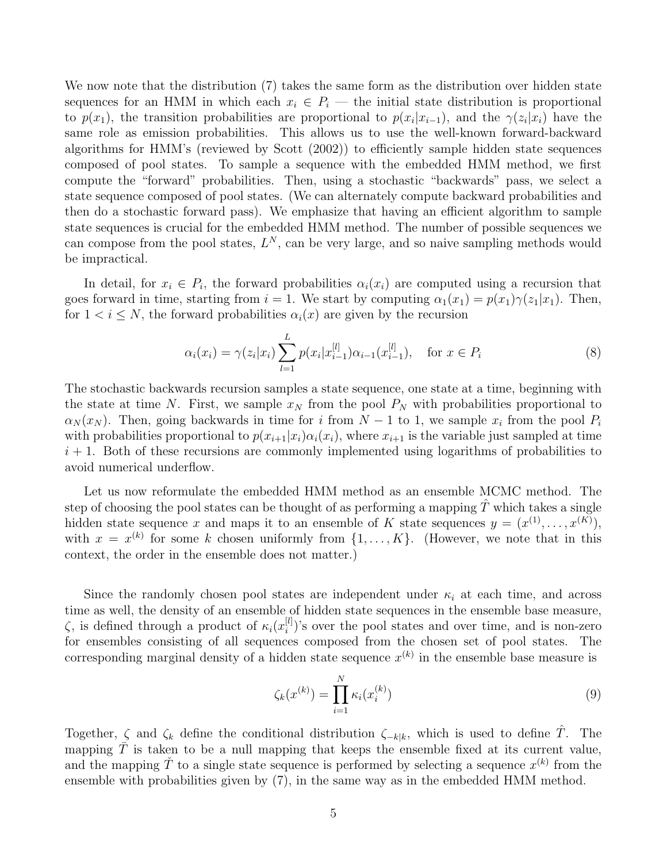We now note that the distribution (7) takes the same form as the distribution over hidden state sequences for an HMM in which each  $x_i \in P_i$  — the initial state distribution is proportional to  $p(x_1)$ , the transition probabilities are proportional to  $p(x_i|x_{i-1})$ , and the  $\gamma(z_i|x_i)$  have the same role as emission probabilities. This allows us to use the well-known forward-backward algorithms for HMM's (reviewed by Scott (2002)) to efficiently sample hidden state sequences composed of pool states. To sample a sequence with the embedded HMM method, we first compute the "forward" probabilities. Then, using a stochastic "backwards" pass, we select a state sequence composed of pool states. (We can alternately compute backward probabilities and then do a stochastic forward pass). We emphasize that having an efficient algorithm to sample state sequences is crucial for the embedded HMM method. The number of possible sequences we can compose from the pool states,  $L^N$ , can be very large, and so naive sampling methods would be impractical.

In detail, for  $x_i \in P_i$ , the forward probabilities  $\alpha_i(x_i)$  are computed using a recursion that goes forward in time, starting from  $i = 1$ . We start by computing  $\alpha_1(x_1) = p(x_1)\gamma(z_1|x_1)$ . Then, for  $1 < i \leq N$ , the forward probabilities  $\alpha_i(x)$  are given by the recursion

$$
\alpha_i(x_i) = \gamma(z_i|x_i) \sum_{l=1}^{L} p(x_i|x_{i-1}^{[l]}) \alpha_{i-1}(x_{i-1}^{[l]}), \quad \text{for } x \in P_i
$$
\n(8)

The stochastic backwards recursion samples a state sequence, one state at a time, beginning with the state at time N. First, we sample  $x_N$  from the pool  $P_N$  with probabilities proportional to  $\alpha_N(x_N)$ . Then, going backwards in time for i from  $N-1$  to 1, we sample  $x_i$  from the pool  $P_i$ with probabilities proportional to  $p(x_{i+1}|x_i)\alpha_i(x_i)$ , where  $x_{i+1}$  is the variable just sampled at time  $i + 1$ . Both of these recursions are commonly implemented using logarithms of probabilities to avoid numerical underflow.

Let us now reformulate the embedded HMM method as an ensemble MCMC method. The step of choosing the pool states can be thought of as performing a mapping  $\hat{T}$  which takes a single hidden state sequence x and maps it to an ensemble of K state sequences  $y = (x^{(1)}, \ldots, x^{(K)}),$ with  $x = x^{(k)}$  for some k chosen uniformly from  $\{1, \ldots, K\}$ . (However, we note that in this context, the order in the ensemble does not matter.)

Since the randomly chosen pool states are independent under  $\kappa_i$  at each time, and across time as well, the density of an ensemble of hidden state sequences in the ensemble base measure,  $\zeta$ , is defined through a product of  $\kappa_i(x_i^{[l]})$  $\binom{[l]}{i}$ 's over the pool states and over time, and is non-zero for ensembles consisting of all sequences composed from the chosen set of pool states. The corresponding marginal density of a hidden state sequence  $x^{(k)}$  in the ensemble base measure is

$$
\zeta_k(x^{(k)}) = \prod_{i=1}^N \kappa_i(x_i^{(k)})
$$
\n(9)

Together,  $\zeta$  and  $\zeta_k$  define the conditional distribution  $\zeta_{-k|k}$ , which is used to define  $\hat{T}$ . The mapping  $\overline{T}$  is taken to be a null mapping that keeps the ensemble fixed at its current value, and the mapping  $\check{T}$  to a single state sequence is performed by selecting a sequence  $x^{(k)}$  from the ensemble with probabilities given by (7), in the same way as in the embedded HMM method.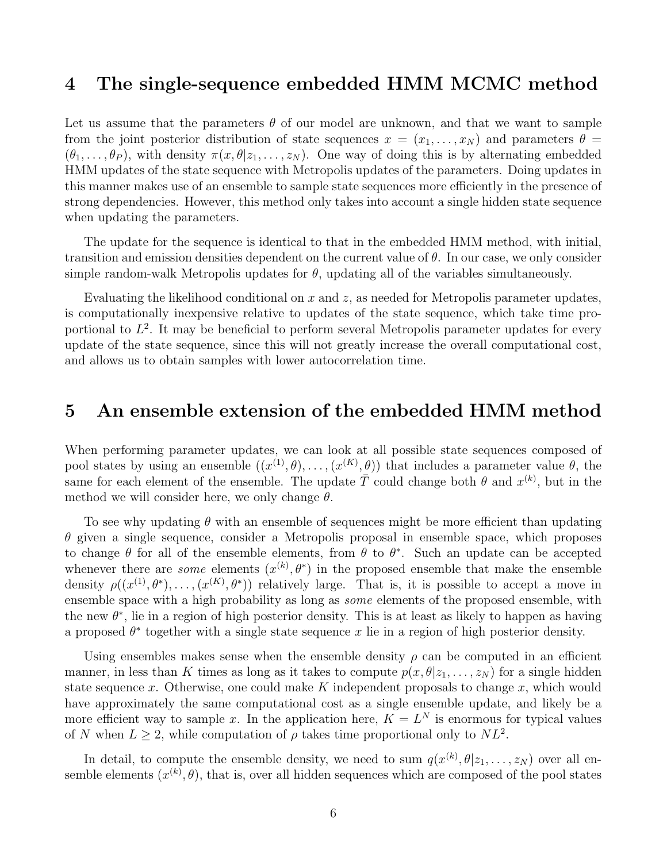## 4 The single-sequence embedded HMM MCMC method

Let us assume that the parameters  $\theta$  of our model are unknown, and that we want to sample from the joint posterior distribution of state sequences  $x = (x_1, \ldots, x_N)$  and parameters  $\theta =$  $(\theta_1,\ldots,\theta_P)$ , with density  $\pi(x,\theta|z_1,\ldots,z_N)$ . One way of doing this is by alternating embedded HMM updates of the state sequence with Metropolis updates of the parameters. Doing updates in this manner makes use of an ensemble to sample state sequences more efficiently in the presence of strong dependencies. However, this method only takes into account a single hidden state sequence when updating the parameters.

The update for the sequence is identical to that in the embedded HMM method, with initial, transition and emission densities dependent on the current value of  $\theta$ . In our case, we only consider simple random-walk Metropolis updates for  $\theta$ , updating all of the variables simultaneously.

Evaluating the likelihood conditional on x and  $z$ , as needed for Metropolis parameter updates, is computationally inexpensive relative to updates of the state sequence, which take time proportional to  $L^2$ . It may be beneficial to perform several Metropolis parameter updates for every update of the state sequence, since this will not greatly increase the overall computational cost, and allows us to obtain samples with lower autocorrelation time.

#### 5 An ensemble extension of the embedded HMM method

When performing parameter updates, we can look at all possible state sequences composed of pool states by using an ensemble  $((x^{(1)}, \theta), \ldots, (x^{(K)}, \theta))$  that includes a parameter value  $\theta$ , the same for each element of the ensemble. The update  $\overline{T}$  could change both  $\theta$  and  $x^{(k)}$ , but in the method we will consider here, we only change  $\theta$ .

To see why updating  $\theta$  with an ensemble of sequences might be more efficient than updating  $\theta$  given a single sequence, consider a Metropolis proposal in ensemble space, which proposes to change  $\theta$  for all of the ensemble elements, from  $\theta$  to  $\theta^*$ . Such an update can be accepted whenever there are *some* elements  $(x^{(k)}, \theta^*)$  in the proposed ensemble that make the ensemble density  $\rho((x^{(1)},\theta^*),\ldots,(x^{(K)},\theta^*))$  relatively large. That is, it is possible to accept a move in ensemble space with a high probability as long as some elements of the proposed ensemble, with the new  $\theta^*$ , lie in a region of high posterior density. This is at least as likely to happen as having a proposed  $\theta^*$  together with a single state sequence x lie in a region of high posterior density.

Using ensembles makes sense when the ensemble density  $\rho$  can be computed in an efficient manner, in less than K times as long as it takes to compute  $p(x, \theta | z_1, \ldots, z_N)$  for a single hidden state sequence x. Otherwise, one could make  $K$  independent proposals to change  $x$ , which would have approximately the same computational cost as a single ensemble update, and likely be a more efficient way to sample x. In the application here,  $K = L^N$  is enormous for typical values of N when  $L \geq 2$ , while computation of  $\rho$  takes time proportional only to  $NL^2$ .

In detail, to compute the ensemble density, we need to sum  $q(x^{(k)},\theta|z_1,\ldots,z_N)$  over all ensemble elements  $(x^{(k)}, \theta)$ , that is, over all hidden sequences which are composed of the pool states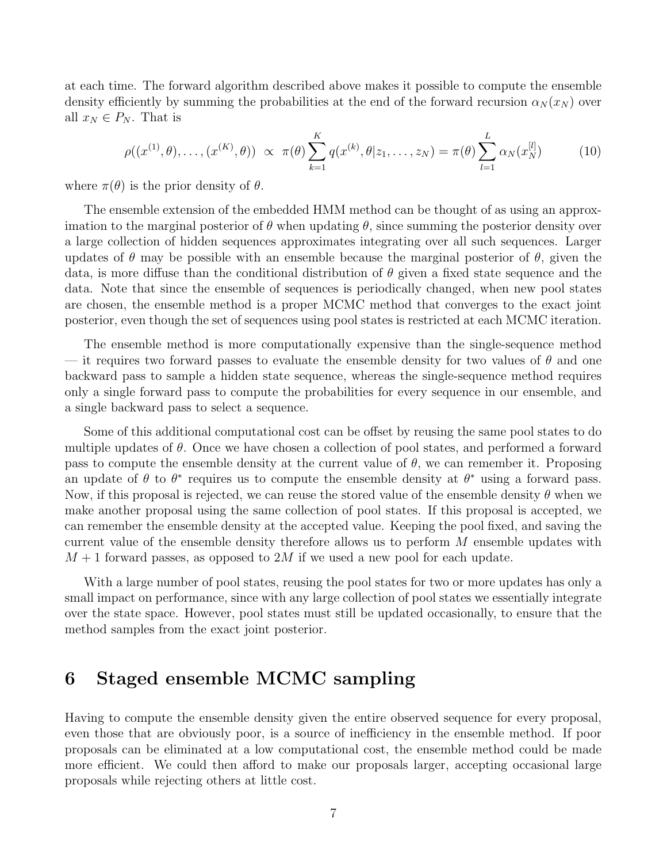at each time. The forward algorithm described above makes it possible to compute the ensemble density efficiently by summing the probabilities at the end of the forward recursion  $\alpha_N(x_N)$  over all  $x_N \in P_N$ . That is

$$
\rho((x^{(1)}, \theta), \dots, (x^{(K)}, \theta)) \propto \pi(\theta) \sum_{k=1}^{K} q(x^{(k)}, \theta | z_1, \dots, z_N) = \pi(\theta) \sum_{l=1}^{L} \alpha_N(x_N^{[l]})
$$
(10)

where  $\pi(\theta)$  is the prior density of  $\theta$ .

The ensemble extension of the embedded HMM method can be thought of as using an approximation to the marginal posterior of  $\theta$  when updating  $\theta$ , since summing the posterior density over a large collection of hidden sequences approximates integrating over all such sequences. Larger updates of  $\theta$  may be possible with an ensemble because the marginal posterior of  $\theta$ , given the data, is more diffuse than the conditional distribution of  $\theta$  given a fixed state sequence and the data. Note that since the ensemble of sequences is periodically changed, when new pool states are chosen, the ensemble method is a proper MCMC method that converges to the exact joint posterior, even though the set of sequences using pool states is restricted at each MCMC iteration.

The ensemble method is more computationally expensive than the single-sequence method — it requires two forward passes to evaluate the ensemble density for two values of  $\theta$  and one backward pass to sample a hidden state sequence, whereas the single-sequence method requires only a single forward pass to compute the probabilities for every sequence in our ensemble, and a single backward pass to select a sequence.

Some of this additional computational cost can be offset by reusing the same pool states to do multiple updates of  $\theta$ . Once we have chosen a collection of pool states, and performed a forward pass to compute the ensemble density at the current value of  $\theta$ , we can remember it. Proposing an update of  $\theta$  to  $\theta^*$  requires us to compute the ensemble density at  $\theta^*$  using a forward pass. Now, if this proposal is rejected, we can reuse the stored value of the ensemble density  $\theta$  when we make another proposal using the same collection of pool states. If this proposal is accepted, we can remember the ensemble density at the accepted value. Keeping the pool fixed, and saving the current value of the ensemble density therefore allows us to perform  $M$  ensemble updates with  $M + 1$  forward passes, as opposed to 2M if we used a new pool for each update.

With a large number of pool states, reusing the pool states for two or more updates has only a small impact on performance, since with any large collection of pool states we essentially integrate over the state space. However, pool states must still be updated occasionally, to ensure that the method samples from the exact joint posterior.

### 6 Staged ensemble MCMC sampling

Having to compute the ensemble density given the entire observed sequence for every proposal, even those that are obviously poor, is a source of inefficiency in the ensemble method. If poor proposals can be eliminated at a low computational cost, the ensemble method could be made more efficient. We could then afford to make our proposals larger, accepting occasional large proposals while rejecting others at little cost.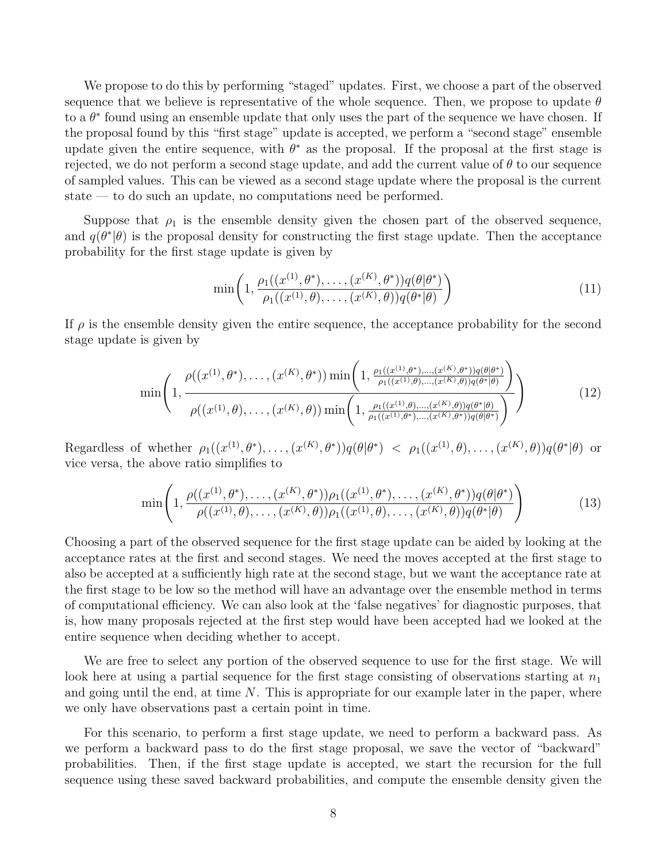We propose to do this by performing "staged" updates. First, we choose a part of the observed sequence that we believe is representative of the whole sequence. Then, we propose to update  $\theta$ to a  $\theta^*$  found using an ensemble update that only uses the part of the sequence we have chosen. If the proposal found by this "first stage" update is accepted, we perform a "second stage" ensemble update given the entire sequence, with  $\theta^*$  as the proposal. If the proposal at the first stage is rejected, we do not perform a second stage update, and add the current value of  $\theta$  to our sequence of sampled values. This can be viewed as a second stage update where the proposal is the current state — to do such an update, no computations need be performed.

Suppose that  $\rho_1$  is the ensemble density given the chosen part of the observed sequence, and  $q(\theta^*|\theta)$  is the proposal density for constructing the first stage update. Then the acceptance probability for the first stage update is given by

$$
\min\left(1, \frac{\rho_1((x^{(1)}, \theta^*), \dots, (x^{(K)}, \theta^*))q(\theta|\theta^*)}{\rho_1((x^{(1)}, \theta), \dots, (x^{(K)}, \theta))q(\theta^*|\theta)}\right) \tag{11}
$$

If  $\rho$  is the ensemble density given the entire sequence, the acceptance probability for the second stage update is given by

$$
\min\left(1,\frac{\rho((x^{(1)},\theta^*),\ldots,(x^{(K)},\theta^*))\min\left(1,\frac{\rho_1((x^{(1)},\theta^*),\ldots,(x^{(K)},\theta^*))q(\theta|\theta^*)}{\rho_1((x^{(1)},\theta),\ldots,(x^{(K)},\theta))q(\theta^*|\theta)}\right)}{\rho((x^{(1)},\theta),\ldots,(x^{(K)},\theta))\min\left(1,\frac{\rho_1((x^{(1)},\theta),\ldots,(x^{(K)},\theta))q(\theta^*|\theta)}{\rho_1((x^{(1)},\theta^*),\ldots,(x^{(K)},\theta^*))q(\theta^*|\theta^*)}\right)}\right)
$$
(12)

Regardless of whether  $\rho_1((x^{(1)},\theta^*),\ldots,(x^{(K)},\theta^*))q(\theta|\theta^*)$   $\leq \rho_1((x^{(1)},\theta),\ldots,(x^{(K)},\theta))q(\theta^*|\theta)$  or vice versa, the above ratio simplifies to

$$
\min\left(1,\frac{\rho((x^{(1)},\theta^*),\ldots,(x^{(K)},\theta^*))\rho_1((x^{(1)},\theta^*),\ldots,(x^{(K)},\theta^*))q(\theta|\theta^*)}{\rho((x^{(1)},\theta),\ldots,(x^{(K)},\theta))\rho_1((x^{(1)},\theta),\ldots,(x^{(K)},\theta))q(\theta^*|\theta)}\right) \tag{13}
$$

Choosing a part of the observed sequence for the first stage update can be aided by looking at the acceptance rates at the first and second stages. We need the moves accepted at the first stage to also be accepted at a sufficiently high rate at the second stage, but we want the acceptance rate at the first stage to be low so the method will have an advantage over the ensemble method in terms of computational efficiency. We can also look at the 'false negatives' for diagnostic purposes, that is, how many proposals rejected at the first step would have been accepted had we looked at the entire sequence when deciding whether to accept.

We are free to select any portion of the observed sequence to use for the first stage. We will look here at using a partial sequence for the first stage consisting of observations starting at  $n_1$ and going until the end, at time  $N$ . This is appropriate for our example later in the paper, where we only have observations past a certain point in time.

For this scenario, to perform a first stage update, we need to perform a backward pass. As we perform a backward pass to do the first stage proposal, we save the vector of "backward" probabilities. Then, if the first stage update is accepted, we start the recursion for the full sequence using these saved backward probabilities, and compute the ensemble density given the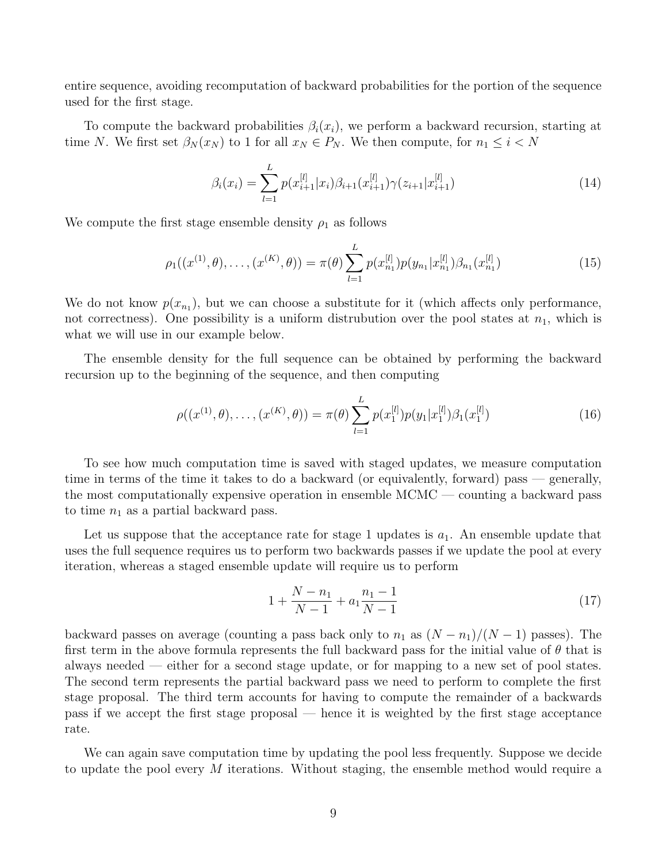entire sequence, avoiding recomputation of backward probabilities for the portion of the sequence used for the first stage.

To compute the backward probabilities  $\beta_i(x_i)$ , we perform a backward recursion, starting at time N. We first set  $\beta_N(x_N)$  to 1 for all  $x_N \in P_N$ . We then compute, for  $n_1 \leq i < N$ 

$$
\beta_i(x_i) = \sum_{l=1}^{L} p(x_{i+1}^{[l]} | x_i) \beta_{i+1}(x_{i+1}^{[l]}) \gamma(z_{i+1} | x_{i+1}^{[l]}) \tag{14}
$$

We compute the first stage ensemble density  $\rho_1$  as follows

$$
\rho_1((x^{(1)}, \theta), \dots, (x^{(K)}, \theta)) = \pi(\theta) \sum_{l=1}^{L} p(x_{n_1}^{[l]}) p(y_{n_1} | x_{n_1}^{[l]}) \beta_{n_1}(x_{n_1}^{[l]})
$$
(15)

We do not know  $p(x_{n_1})$ , but we can choose a substitute for it (which affects only performance, not correctness). One possibility is a uniform distrubution over the pool states at  $n_1$ , which is what we will use in our example below.

The ensemble density for the full sequence can be obtained by performing the backward recursion up to the beginning of the sequence, and then computing

$$
\rho((x^{(1)}, \theta), \dots, (x^{(K)}, \theta)) = \pi(\theta) \sum_{l=1}^{L} p(x_1^{[l]}) p(y_1 | x_1^{[l]}) \beta_1(x_1^{[l]})
$$
\n(16)

To see how much computation time is saved with staged updates, we measure computation time in terms of the time it takes to do a backward (or equivalently, forward) pass — generally, the most computationally expensive operation in ensemble MCMC — counting a backward pass to time  $n_1$  as a partial backward pass.

Let us suppose that the acceptance rate for stage 1 updates is  $a_1$ . An ensemble update that uses the full sequence requires us to perform two backwards passes if we update the pool at every iteration, whereas a staged ensemble update will require us to perform

$$
1 + \frac{N - n_1}{N - 1} + a_1 \frac{n_1 - 1}{N - 1} \tag{17}
$$

backward passes on average (counting a pass back only to  $n_1$  as  $(N - n_1)/(N - 1)$  passes). The first term in the above formula represents the full backward pass for the initial value of  $\theta$  that is always needed — either for a second stage update, or for mapping to a new set of pool states. The second term represents the partial backward pass we need to perform to complete the first stage proposal. The third term accounts for having to compute the remainder of a backwards pass if we accept the first stage proposal — hence it is weighted by the first stage acceptance rate.

We can again save computation time by updating the pool less frequently. Suppose we decide to update the pool every M iterations. Without staging, the ensemble method would require a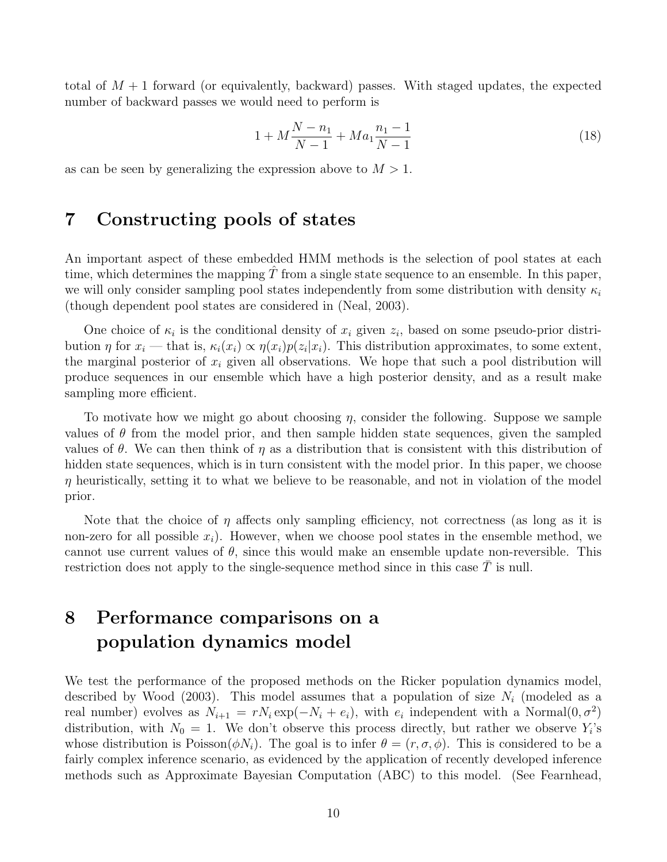total of  $M+1$  forward (or equivalently, backward) passes. With staged updates, the expected number of backward passes we would need to perform is

$$
1 + M\frac{N - n_1}{N - 1} + Ma_1\frac{n_1 - 1}{N - 1} \tag{18}
$$

as can be seen by generalizing the expression above to  $M > 1$ .

#### 7 Constructing pools of states

An important aspect of these embedded HMM methods is the selection of pool states at each time, which determines the mapping  $T$  from a single state sequence to an ensemble. In this paper, we will only consider sampling pool states independently from some distribution with density  $\kappa_i$ (though dependent pool states are considered in (Neal, 2003).

One choice of  $\kappa_i$  is the conditional density of  $x_i$  given  $z_i$ , based on some pseudo-prior distribution  $\eta$  for  $x_i$  — that is,  $\kappa_i(x_i) \propto \eta(x_i)p(z_i|x_i)$ . This distribution approximates, to some extent, the marginal posterior of  $x_i$  given all observations. We hope that such a pool distribution will produce sequences in our ensemble which have a high posterior density, and as a result make sampling more efficient.

To motivate how we might go about choosing  $\eta$ , consider the following. Suppose we sample values of  $\theta$  from the model prior, and then sample hidden state sequences, given the sampled values of  $\theta$ . We can then think of  $\eta$  as a distribution that is consistent with this distribution of hidden state sequences, which is in turn consistent with the model prior. In this paper, we choose  $\eta$  heuristically, setting it to what we believe to be reasonable, and not in violation of the model prior.

Note that the choice of  $\eta$  affects only sampling efficiency, not correctness (as long as it is non-zero for all possible  $x_i$ ). However, when we choose pool states in the ensemble method, we cannot use current values of  $\theta$ , since this would make an ensemble update non-reversible. This restriction does not apply to the single-sequence method since in this case  $T$  is null.

## 8 Performance comparisons on a population dynamics model

We test the performance of the proposed methods on the Ricker population dynamics model, described by Wood (2003). This model assumes that a population of size  $N_i$  (modeled as a real number) evolves as  $N_{i+1} = rN_i \exp(-N_i + e_i)$ , with  $e_i$  independent with a Normal $(0, \sigma^2)$ distribution, with  $N_0 = 1$ . We don't observe this process directly, but rather we observe  $Y_i$ 's whose distribution is  $Poisson(\phi N_i)$ . The goal is to infer  $\theta = (r, \sigma, \phi)$ . This is considered to be a fairly complex inference scenario, as evidenced by the application of recently developed inference methods such as Approximate Bayesian Computation (ABC) to this model. (See Fearnhead,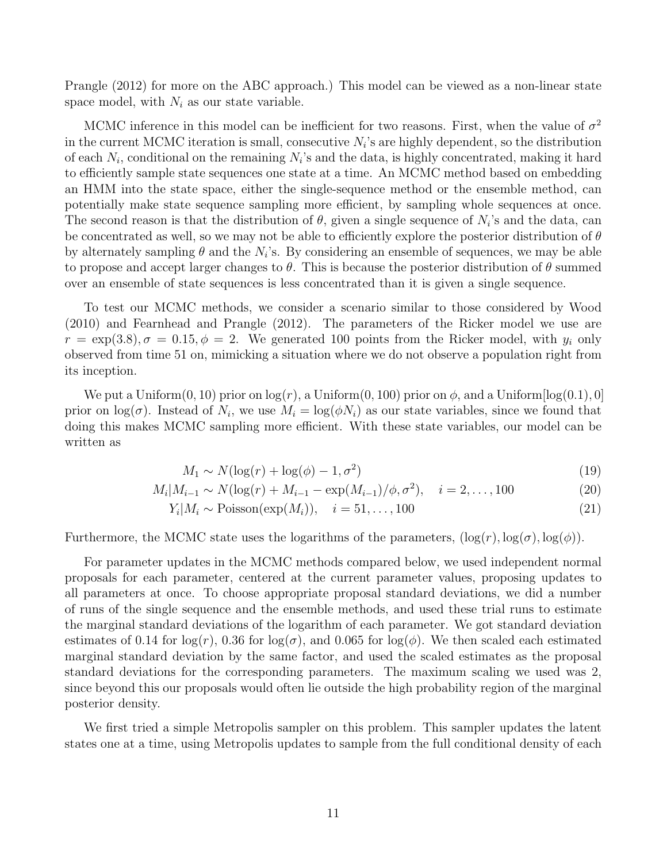Prangle (2012) for more on the ABC approach.) This model can be viewed as a non-linear state space model, with  $N_i$  as our state variable.

MCMC inference in this model can be inefficient for two reasons. First, when the value of  $\sigma^2$ in the current MCMC iteration is small, consecutive  $N_i$ 's are highly dependent, so the distribution of each  $N_i$ , conditional on the remaining  $N_i$ 's and the data, is highly concentrated, making it hard to efficiently sample state sequences one state at a time. An MCMC method based on embedding an HMM into the state space, either the single-sequence method or the ensemble method, can potentially make state sequence sampling more efficient, by sampling whole sequences at once. The second reason is that the distribution of  $\theta$ , given a single sequence of  $N_i$ 's and the data, can be concentrated as well, so we may not be able to efficiently explore the posterior distribution of  $\theta$ by alternately sampling  $\theta$  and the  $N_i$ 's. By considering an ensemble of sequences, we may be able to propose and accept larger changes to  $\theta$ . This is because the posterior distribution of  $\theta$  summed over an ensemble of state sequences is less concentrated than it is given a single sequence.

To test our MCMC methods, we consider a scenario similar to those considered by Wood (2010) and Fearnhead and Prangle (2012). The parameters of the Ricker model we use are  $r = \exp(3.8), \sigma = 0.15, \phi = 2$ . We generated 100 points from the Ricker model, with  $y_i$  only observed from time 51 on, mimicking a situation where we do not observe a population right from its inception.

We put a Uniform $(0, 10)$  prior on  $log(r)$ , a Uniform $(0, 100)$  prior on  $\phi$ , and a Uniform $log(0.1)$ , 0 prior on  $\log(\sigma)$ . Instead of  $N_i$ , we use  $M_i = \log(\phi N_i)$  as our state variables, since we found that doing this makes MCMC sampling more efficient. With these state variables, our model can be written as

$$
M_1 \sim N(\log(r) + \log(\phi) - 1, \sigma^2)
$$
\n(19)

$$
M_i|M_{i-1} \sim N(\log(r) + M_{i-1} - \exp(M_{i-1})/\phi, \sigma^2), \quad i = 2, ..., 100
$$
 (20)

$$
Y_i|M_i \sim \text{Poisson}(\exp(M_i)), \quad i = 51, \dots, 100 \tag{21}
$$

Furthermore, the MCMC state uses the logarithms of the parameters,  $(\log(r), \log(\sigma), \log(\phi))$ .

For parameter updates in the MCMC methods compared below, we used independent normal proposals for each parameter, centered at the current parameter values, proposing updates to all parameters at once. To choose appropriate proposal standard deviations, we did a number of runs of the single sequence and the ensemble methods, and used these trial runs to estimate the marginal standard deviations of the logarithm of each parameter. We got standard deviation estimates of 0.14 for  $log(r)$ , 0.36 for  $log(\sigma)$ , and 0.065 for  $log(\phi)$ . We then scaled each estimated marginal standard deviation by the same factor, and used the scaled estimates as the proposal standard deviations for the corresponding parameters. The maximum scaling we used was 2, since beyond this our proposals would often lie outside the high probability region of the marginal posterior density.

We first tried a simple Metropolis sampler on this problem. This sampler updates the latent states one at a time, using Metropolis updates to sample from the full conditional density of each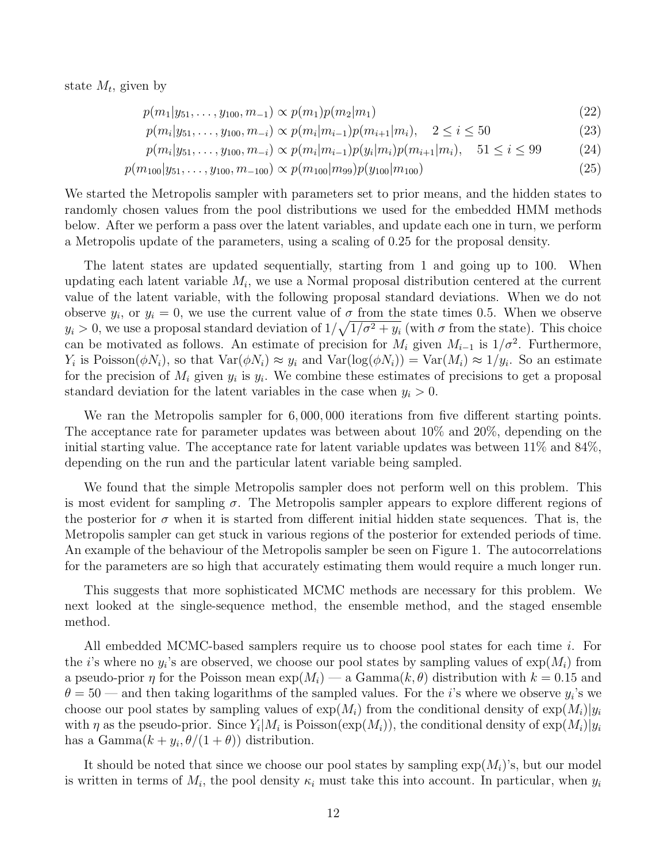state  $M_t$ , given by

$$
p(m_1|y_{51},\ldots,y_{100},m_{-1}) \propto p(m_1)p(m_2|m_1) \tag{22}
$$

$$
p(m_i|y_{51},\ldots,y_{100},m_{-i}) \propto p(m_i|m_{i-1})p(m_{i+1}|m_i), \quad 2 \le i \le 50
$$
\n(23)

$$
p(m_i|y_{51},\ldots,y_{100},m_{-i}) \propto p(m_i|m_{i-1})p(y_i|m_i)p(m_{i+1}|m_i), \quad 51 \le i \le 99
$$
 (24)

$$
p(m_{100}|y_{51},\ldots,y_{100},m_{-100}) \propto p(m_{100}|m_{99})p(y_{100}|m_{100})
$$
\n(25)

We started the Metropolis sampler with parameters set to prior means, and the hidden states to randomly chosen values from the pool distributions we used for the embedded HMM methods below. After we perform a pass over the latent variables, and update each one in turn, we perform a Metropolis update of the parameters, using a scaling of 0.25 for the proposal density.

The latent states are updated sequentially, starting from 1 and going up to 100. When updating each latent variable  $M_i$ , we use a Normal proposal distribution centered at the current value of the latent variable, with the following proposal standard deviations. When we do not observe  $y_i$ , or  $y_i = 0$ , we use the current value of  $\sigma$  from the state times 0.5. When we observe  $y_i > 0$ , we use a proposal standard deviation of  $1/\sqrt{1/\sigma^2 + y_i}$  (with  $\sigma$  from the state). This choice can be motivated as follows. An estimate of precision for  $M_i$  given  $M_{i-1}$  is  $1/\sigma^2$ . Furthermore,  $Y_i$  is Poisson $(\phi N_i)$ , so that  $Var(\phi N_i) \approx y_i$  and  $Var(log(\phi N_i)) = Var(M_i) \approx 1/y_i$ . So an estimate for the precision of  $M_i$  given  $y_i$  is  $y_i$ . We combine these estimates of precisions to get a proposal standard deviation for the latent variables in the case when  $y_i > 0$ .

We ran the Metropolis sampler for  $6,000,000$  iterations from five different starting points. The acceptance rate for parameter updates was between about 10% and 20%, depending on the initial starting value. The acceptance rate for latent variable updates was between 11% and 84%, depending on the run and the particular latent variable being sampled.

We found that the simple Metropolis sampler does not perform well on this problem. This is most evident for sampling  $\sigma$ . The Metropolis sampler appears to explore different regions of the posterior for  $\sigma$  when it is started from different initial hidden state sequences. That is, the Metropolis sampler can get stuck in various regions of the posterior for extended periods of time. An example of the behaviour of the Metropolis sampler be seen on Figure 1. The autocorrelations for the parameters are so high that accurately estimating them would require a much longer run.

This suggests that more sophisticated MCMC methods are necessary for this problem. We next looked at the single-sequence method, the ensemble method, and the staged ensemble method.

All embedded MCMC-based samplers require us to choose pool states for each time i. For the *i*'s where no  $y_i$ 's are observed, we choose our pool states by sampling values of  $\exp(M_i)$  from a pseudo-prior  $\eta$  for the Poisson mean  $\exp(M_i)$  — a Gamma $(k, \theta)$  distribution with  $k = 0.15$  and  $\theta = 50$  — and then taking logarithms of the sampled values. For the *i*'s where we observe  $y_i$ 's we choose our pool states by sampling values of  $\exp(M_i)$  from the conditional density of  $\exp(M_i)|y_i|$ with  $\eta$  as the pseudo-prior. Since  $Y_i|M_i$  is Poisson( $\exp(M_i)$ ), the conditional density of  $\exp(M_i)|y_i$ has a  $Gamma(k + y_i, \theta/(1 + \theta))$  distribution.

It should be noted that since we choose our pool states by sampling  $\exp(M_i)$ 's, but our model is written in terms of  $M_i$ , the pool density  $\kappa_i$  must take this into account. In particular, when  $y_i$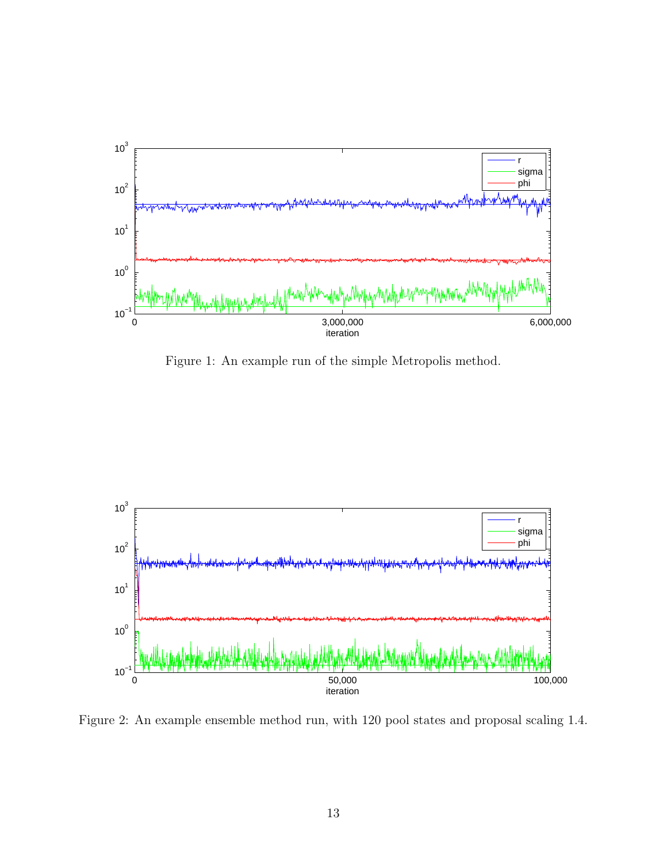

Figure 1: An example run of the simple Metropolis method.



Figure 2: An example ensemble method run, with 120 pool states and proposal scaling 1.4.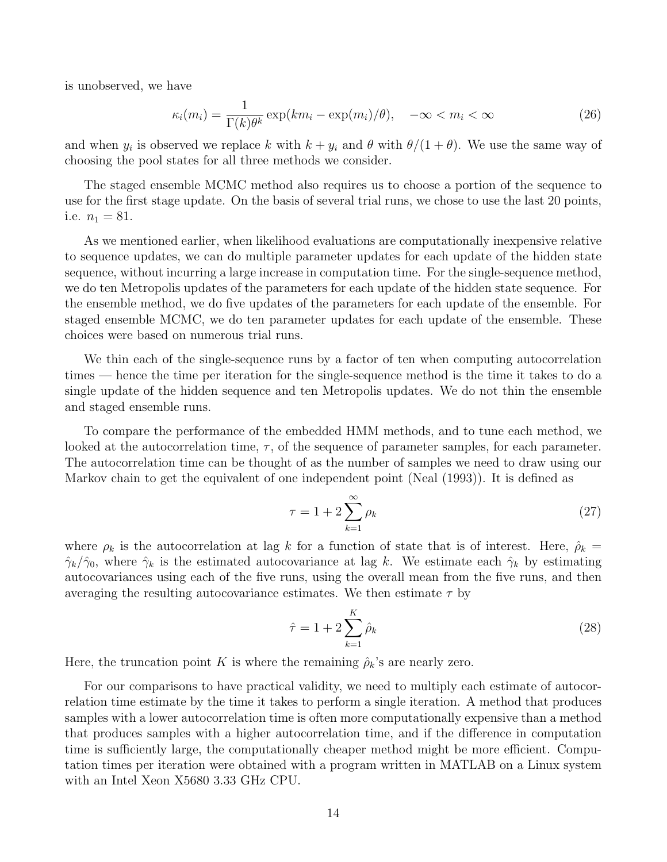is unobserved, we have

$$
\kappa_i(m_i) = \frac{1}{\Gamma(k)\theta^k} \exp(km_i - \exp(m_i)/\theta), \quad -\infty < m_i < \infty \tag{26}
$$

and when  $y_i$  is observed we replace k with  $k + y_i$  and  $\theta$  with  $\theta/(1 + \theta)$ . We use the same way of choosing the pool states for all three methods we consider.

The staged ensemble MCMC method also requires us to choose a portion of the sequence to use for the first stage update. On the basis of several trial runs, we chose to use the last 20 points, i.e.  $n_1 = 81$ .

As we mentioned earlier, when likelihood evaluations are computationally inexpensive relative to sequence updates, we can do multiple parameter updates for each update of the hidden state sequence, without incurring a large increase in computation time. For the single-sequence method, we do ten Metropolis updates of the parameters for each update of the hidden state sequence. For the ensemble method, we do five updates of the parameters for each update of the ensemble. For staged ensemble MCMC, we do ten parameter updates for each update of the ensemble. These choices were based on numerous trial runs.

We thin each of the single-sequence runs by a factor of ten when computing autocorrelation times — hence the time per iteration for the single-sequence method is the time it takes to do a single update of the hidden sequence and ten Metropolis updates. We do not thin the ensemble and staged ensemble runs.

To compare the performance of the embedded HMM methods, and to tune each method, we looked at the autocorrelation time,  $\tau$ , of the sequence of parameter samples, for each parameter. The autocorrelation time can be thought of as the number of samples we need to draw using our Markov chain to get the equivalent of one independent point (Neal (1993)). It is defined as

$$
\tau = 1 + 2 \sum_{k=1}^{\infty} \rho_k \tag{27}
$$

where  $\rho_k$  is the autocorrelation at lag k for a function of state that is of interest. Here,  $\rho_k =$  $\hat{\gamma}_k/\hat{\gamma}_0$ , where  $\hat{\gamma}_k$  is the estimated autocovariance at lag k. We estimate each  $\hat{\gamma}_k$  by estimating autocovariances using each of the five runs, using the overall mean from the five runs, and then averaging the resulting autocovariance estimates. We then estimate  $\tau$  by

$$
\hat{\tau} = 1 + 2 \sum_{k=1}^{K} \hat{\rho}_k
$$
\n(28)

Here, the truncation point K is where the remaining  $\hat{\rho}_k$ 's are nearly zero.

For our comparisons to have practical validity, we need to multiply each estimate of autocorrelation time estimate by the time it takes to perform a single iteration. A method that produces samples with a lower autocorrelation time is often more computationally expensive than a method that produces samples with a higher autocorrelation time, and if the difference in computation time is sufficiently large, the computationally cheaper method might be more efficient. Computation times per iteration were obtained with a program written in MATLAB on a Linux system with an Intel Xeon X5680 3.33 GHz CPU.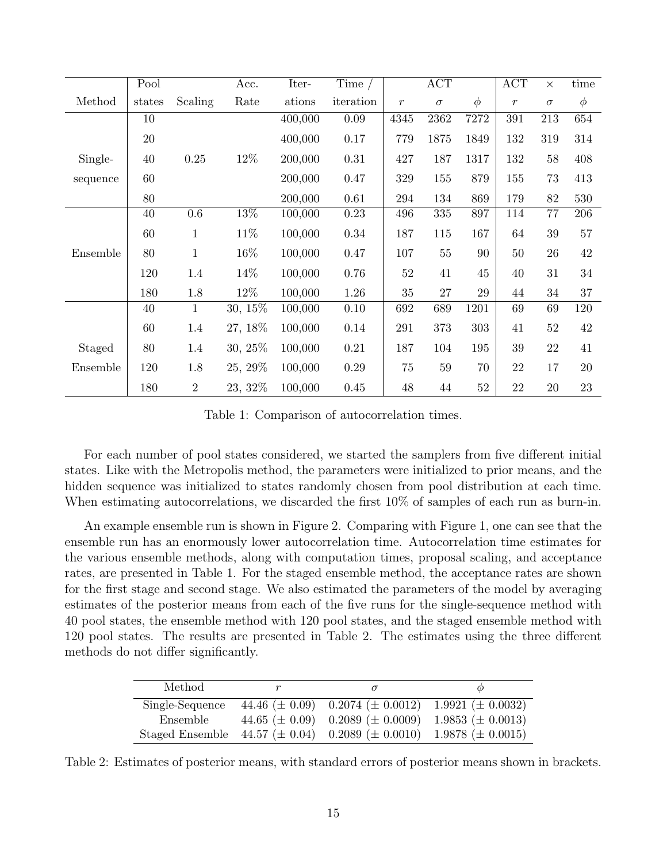|          | Pool   |                | Acc.       | Iter-   | Time $/$  |               | $\overline{ACT}$ |        | $\mathop{\mathrm{ACT}}$ | $\times$ | time   |
|----------|--------|----------------|------------|---------|-----------|---------------|------------------|--------|-------------------------|----------|--------|
| Method   | states | Scaling        | Rate       | ations  | iteration | $\mathcal{r}$ | $\sigma$         | $\phi$ | $\mathcal{r}$           | $\sigma$ | $\phi$ |
|          | 10     |                |            | 400,000 | $0.09\,$  | 4345          | 2362             | 7272   | 391                     | $213\,$  | 654    |
|          | $20\,$ |                |            | 400,000 | 0.17      | 779           | 1875             | 1849   | 132                     | 319      | 314    |
| Single-  | 40     | 0.25           | 12\%       | 200,000 | 0.31      | 427           | 187              | 1317   | 132                     | $58\,$   | 408    |
| sequence | 60     |                |            | 200,000 | 0.47      | 329           | 155              | 879    | 155                     | 73       | 413    |
|          | 80     |                |            | 200,000 | 0.61      | 294           | 134              | 869    | 179                     | 82       | 530    |
|          | 40     | $0.6\,$        | 13%        | 100,000 | 0.23      | 496           | 335              | 897    | 114                     | 77       | 206    |
|          | 60     | $\mathbf{1}$   | 11\%       | 100,000 | 0.34      | 187           | 115              | 167    | 64                      | $39\,$   | 57     |
| Ensemble | 80     | $\mathbf{1}$   | 16\%       | 100,000 | 0.47      | 107           | 55               | 90     | 50                      | $26\,$   | 42     |
|          | 120    | 1.4            | 14\%       | 100,000 | 0.76      | 52            | 41               | 45     | 40                      | 31       | 34     |
|          | 180    | 1.8            | 12%        | 100,000 | 1.26      | 35            | 27               | 29     | 44                      | 34       | 37     |
|          | 40     | $\mathbf{1}$   | 30, 15%    | 100,000 | 0.10      | 692           | 689              | 1201   | 69                      | 69       | 120    |
|          | 60     | 1.4            | 27, 18\%   | 100,000 | 0.14      | 291           | 373              | 303    | 41                      | $52\,$   | 42     |
| Staged   | 80     | 1.4            | $30, 25\%$ | 100,000 | 0.21      | 187           | 104              | 195    | 39                      | $22\,$   | 41     |
| Ensemble | 120    | 1.8            | 25, 29\%   | 100,000 | $0.29\,$  | 75            | 59               | 70     | 22                      | $17\,$   | 20     |
|          | 180    | $\overline{2}$ | 23, 32\%   | 100,000 | 0.45      | 48            | 44               | 52     | 22                      | 20       | 23     |

Table 1: Comparison of autocorrelation times.

For each number of pool states considered, we started the samplers from five different initial states. Like with the Metropolis method, the parameters were initialized to prior means, and the hidden sequence was initialized to states randomly chosen from pool distribution at each time. When estimating autocorrelations, we discarded the first 10% of samples of each run as burn-in.

An example ensemble run is shown in Figure 2. Comparing with Figure 1, one can see that the ensemble run has an enormously lower autocorrelation time. Autocorrelation time estimates for the various ensemble methods, along with computation times, proposal scaling, and acceptance rates, are presented in Table 1. For the staged ensemble method, the acceptance rates are shown for the first stage and second stage. We also estimated the parameters of the model by averaging estimates of the posterior means from each of the five runs for the single-sequence method with 40 pool states, the ensemble method with 120 pool states, and the staged ensemble method with 120 pool states. The results are presented in Table 2. The estimates using the three different methods do not differ significantly.

| Method          |                                                                                   |  |
|-----------------|-----------------------------------------------------------------------------------|--|
| Single-Sequence | 44.46 ( $\pm$ 0.09) 0.2074 ( $\pm$ 0.0012) 1.9921 ( $\pm$ 0.0032)                 |  |
| Ensemble        | 44.65 ( $\pm$ 0.09) 0.2089 ( $\pm$ 0.0009) 1.9853 ( $\pm$ 0.0013)                 |  |
|                 | Staged Ensemble 44.57 ( $\pm$ 0.04) 0.2089 ( $\pm$ 0.0010) 1.9878 ( $\pm$ 0.0015) |  |

Table 2: Estimates of posterior means, with standard errors of posterior means shown in brackets.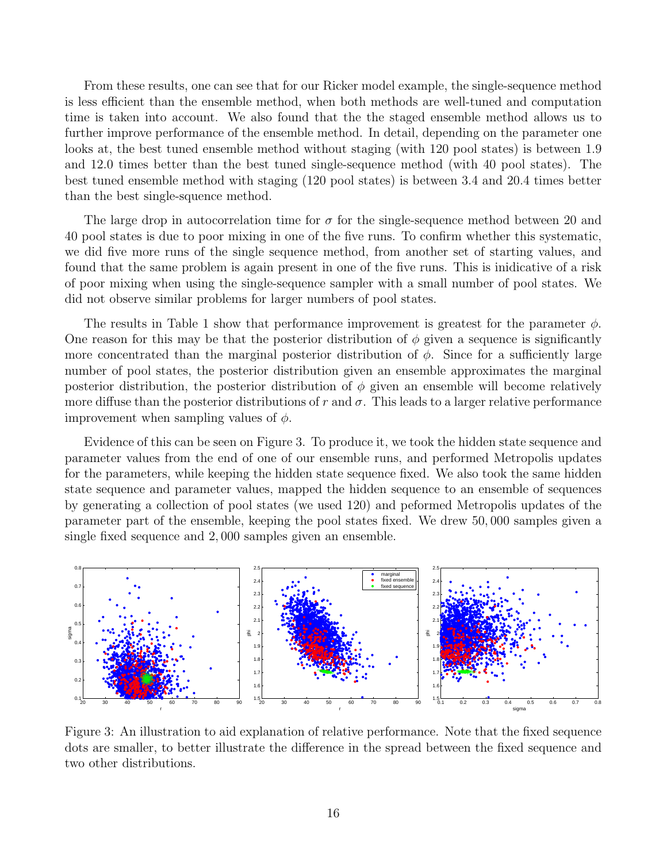From these results, one can see that for our Ricker model example, the single-sequence method is less efficient than the ensemble method, when both methods are well-tuned and computation time is taken into account. We also found that the the staged ensemble method allows us to further improve performance of the ensemble method. In detail, depending on the parameter one looks at, the best tuned ensemble method without staging (with 120 pool states) is between 1.9 and 12.0 times better than the best tuned single-sequence method (with 40 pool states). The best tuned ensemble method with staging (120 pool states) is between 3.4 and 20.4 times better than the best single-squence method.

The large drop in autocorrelation time for  $\sigma$  for the single-sequence method between 20 and 40 pool states is due to poor mixing in one of the five runs. To confirm whether this systematic, we did five more runs of the single sequence method, from another set of starting values, and found that the same problem is again present in one of the five runs. This is inidicative of a risk of poor mixing when using the single-sequence sampler with a small number of pool states. We did not observe similar problems for larger numbers of pool states.

The results in Table 1 show that performance improvement is greatest for the parameter  $\phi$ . One reason for this may be that the posterior distribution of  $\phi$  given a sequence is significantly more concentrated than the marginal posterior distribution of  $\phi$ . Since for a sufficiently large number of pool states, the posterior distribution given an ensemble approximates the marginal posterior distribution, the posterior distribution of  $\phi$  given an ensemble will become relatively more diffuse than the posterior distributions of r and  $\sigma$ . This leads to a larger relative performance improvement when sampling values of  $\phi$ .

Evidence of this can be seen on Figure 3. To produce it, we took the hidden state sequence and parameter values from the end of one of our ensemble runs, and performed Metropolis updates for the parameters, while keeping the hidden state sequence fixed. We also took the same hidden state sequence and parameter values, mapped the hidden sequence to an ensemble of sequences by generating a collection of pool states (we used 120) and peformed Metropolis updates of the parameter part of the ensemble, keeping the pool states fixed. We drew 50, 000 samples given a single fixed sequence and 2, 000 samples given an ensemble.



Figure 3: An illustration to aid explanation of relative performance. Note that the fixed sequence dots are smaller, to better illustrate the difference in the spread between the fixed sequence and two other distributions.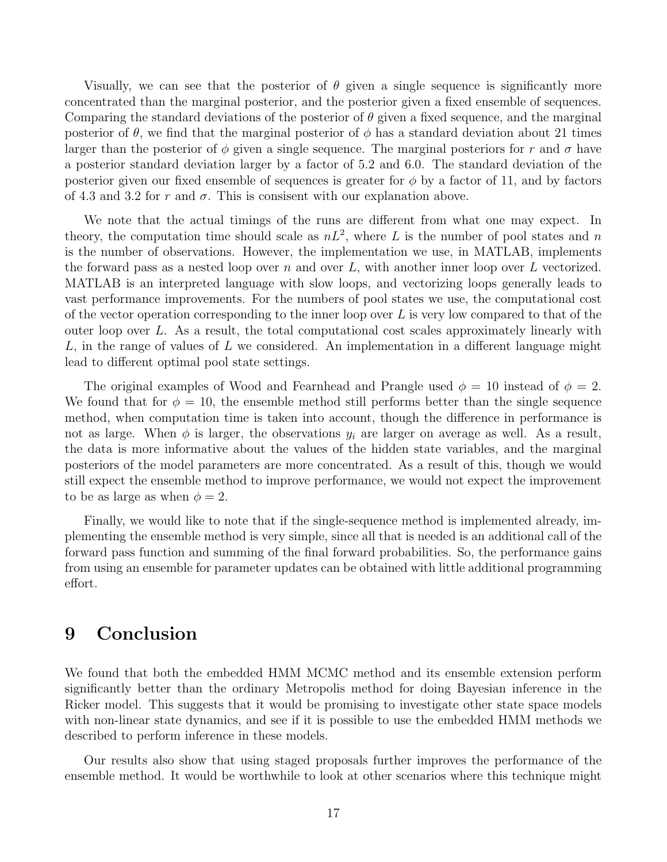Visually, we can see that the posterior of  $\theta$  given a single sequence is significantly more concentrated than the marginal posterior, and the posterior given a fixed ensemble of sequences. Comparing the standard deviations of the posterior of  $\theta$  given a fixed sequence, and the marginal posterior of  $\theta$ , we find that the marginal posterior of  $\phi$  has a standard deviation about 21 times larger than the posterior of  $\phi$  given a single sequence. The marginal posteriors for r and  $\sigma$  have a posterior standard deviation larger by a factor of 5.2 and 6.0. The standard deviation of the posterior given our fixed ensemble of sequences is greater for  $\phi$  by a factor of 11, and by factors of 4.3 and 3.2 for r and  $\sigma$ . This is consisent with our explanation above.

We note that the actual timings of the runs are different from what one may expect. In theory, the computation time should scale as  $nL^2$ , where L is the number of pool states and n is the number of observations. However, the implementation we use, in MATLAB, implements the forward pass as a nested loop over  $n$  and over  $L$ , with another inner loop over  $L$  vectorized. MATLAB is an interpreted language with slow loops, and vectorizing loops generally leads to vast performance improvements. For the numbers of pool states we use, the computational cost of the vector operation corresponding to the inner loop over  $L$  is very low compared to that of the outer loop over  $L$ . As a result, the total computational cost scales approximately linearly with  $L$ , in the range of values of  $L$  we considered. An implementation in a different language might lead to different optimal pool state settings.

The original examples of Wood and Fearnhead and Prangle used  $\phi = 10$  instead of  $\phi = 2$ . We found that for  $\phi = 10$ , the ensemble method still performs better than the single sequence method, when computation time is taken into account, though the difference in performance is not as large. When  $\phi$  is larger, the observations  $y_i$  are larger on average as well. As a result, the data is more informative about the values of the hidden state variables, and the marginal posteriors of the model parameters are more concentrated. As a result of this, though we would still expect the ensemble method to improve performance, we would not expect the improvement to be as large as when  $\phi = 2$ .

Finally, we would like to note that if the single-sequence method is implemented already, implementing the ensemble method is very simple, since all that is needed is an additional call of the forward pass function and summing of the final forward probabilities. So, the performance gains from using an ensemble for parameter updates can be obtained with little additional programming effort.

#### 9 Conclusion

We found that both the embedded HMM MCMC method and its ensemble extension perform significantly better than the ordinary Metropolis method for doing Bayesian inference in the Ricker model. This suggests that it would be promising to investigate other state space models with non-linear state dynamics, and see if it is possible to use the embedded HMM methods we described to perform inference in these models.

Our results also show that using staged proposals further improves the performance of the ensemble method. It would be worthwhile to look at other scenarios where this technique might